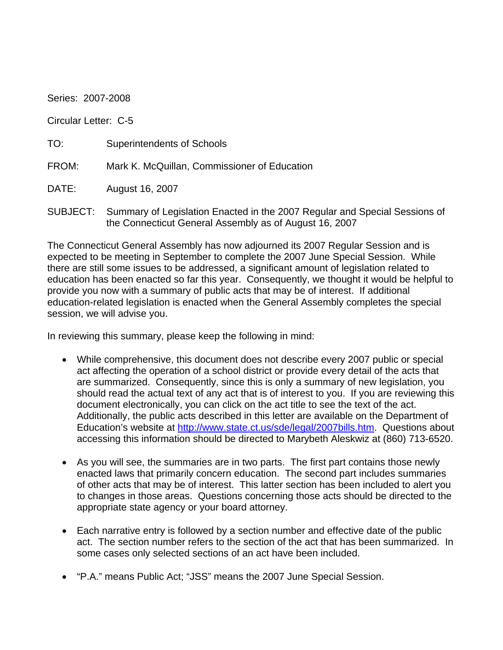Series: 2007-2008

Circular Letter: C-5

| TO: | Superintendents of Schools |  |
|-----|----------------------------|--|
|     |                            |  |

FROM: Mark K. McQuillan, Commissioner of Education

DATE: August 16, 2007

SUBJECT: Summary of Legislation Enacted in the 2007 Regular and Special Sessions of the Connecticut General Assembly as of August 16, 2007

The Connecticut General Assembly has now adjourned its 2007 Regular Session and is expected to be meeting in September to complete the 2007 June Special Session. While there are still some issues to be addressed, a significant amount of legislation related to education has been enacted so far this year. Consequently, we thought it would be helpful to provide you now with a summary of public acts that may be of interest. If additional education-related legislation is enacted when the General Assembly completes the special session, we will advise you.

In reviewing this summary, please keep the following in mind:

- While comprehensive, this document does not describe every 2007 public or special act affecting the operation of a school district or provide every detail of the acts that are summarized. Consequently, since this is only a summary of new legislation, you should read the actual text of any act that is of interest to you. If you are reviewing this document electronically, you can click on the act title to see the text of the act. Additionally, the public acts described in this letter are available on the Department of Education's website at [http://www.state.ct.us/sde/legal/2007bills.htm.](http://www.state.ct.us/sde/legal/2007bills.htm) Questions about accessing this information should be directed to Marybeth Aleskwiz at (860) 713-6520.
- As you will see, the summaries are in two parts. The first part contains those newly enacted laws that primarily concern education. The second part includes summaries of other acts that may be of interest. This latter section has been included to alert you to changes in those areas. Questions concerning those acts should be directed to the appropriate state agency or your board attorney.
- Each narrative entry is followed by a section number and effective date of the public act. The section number refers to the section of the act that has been summarized. In some cases only selected sections of an act have been included.
- "P.A." means Public Act; "JSS" means the 2007 June Special Session.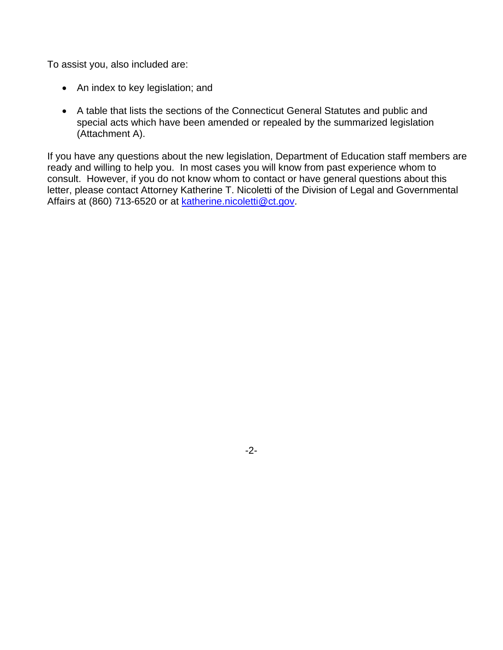To assist you, also included are:

- An index to key legislation; and
- A table that lists the sections of the Connecticut General Statutes and public and special acts which have been amended or repealed by the summarized legislation (Attachment A).

If you have any questions about the new legislation, Department of Education staff members are ready and willing to help you. In most cases you will know from past experience whom to consult. However, if you do not know whom to contact or have general questions about this letter, please contact Attorney Katherine T. Nicoletti of the Division of Legal and Governmental Affairs at (860) 713-6520 or at [katherine.nicoletti@ct.gov.](mailto:katherine.nicoletti@ct.gov)

-2-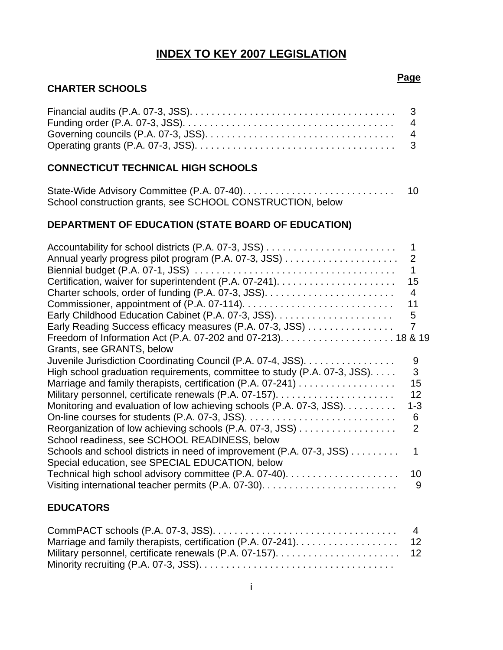## **INDEX TO KEY 2007 LEGISLATION**

## **CHARTER SCHOOLS**

#### **CONNECTICUT TECHNICAL HIGH SCHOOLS**

|                                                            | 10 |
|------------------------------------------------------------|----|
| School construction grants, see SCHOOL CONSTRUCTION, below |    |

#### **DEPARTMENT OF EDUCATION (STATE BOARD OF EDUCATION)**

|                                                                           | 2              |
|---------------------------------------------------------------------------|----------------|
|                                                                           |                |
|                                                                           | 15             |
|                                                                           | 4              |
|                                                                           | 11             |
|                                                                           | 5              |
| Early Reading Success efficacy measures (P.A. 07-3, JSS)                  | 7              |
|                                                                           |                |
| Grants, see GRANTS, below                                                 |                |
| Juvenile Jurisdiction Coordinating Council (P.A. 07-4, JSS).              | 9              |
| High school graduation requirements, committee to study (P.A. 07-3, JSS). | 3              |
| Marriage and family therapists, certification (P.A. 07-241)               | 15             |
|                                                                           | 12             |
| Monitoring and evaluation of low achieving schools (P.A. 07-3, JSS).      | $1 - 3$        |
|                                                                           | 6              |
| Reorganization of low achieving schools (P.A. 07-3, JSS)                  | $\overline{2}$ |
| School readiness, see SCHOOL READINESS, below                             |                |
| Schools and school districts in need of improvement (P.A. 07-3, JSS)      |                |
| Special education, see SPECIAL EDUCATION, below                           |                |
|                                                                           | 10             |
|                                                                           | 9              |
|                                                                           |                |

#### **EDUCATORS**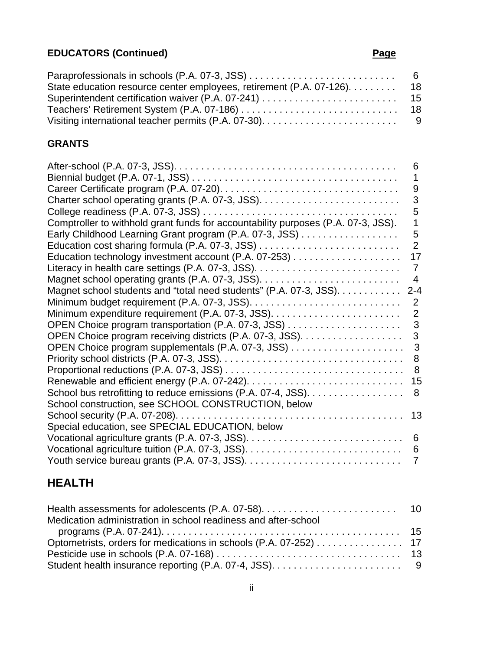# **EDUCATORS (Continued) Page**

| State education resource center employees, retirement (P.A. 07-126). 18 |  |
|-------------------------------------------------------------------------|--|
|                                                                         |  |
|                                                                         |  |
|                                                                         |  |

#### **GRANTS**

|                                                                                   | 6              |
|-----------------------------------------------------------------------------------|----------------|
|                                                                                   | 1              |
|                                                                                   | 9              |
|                                                                                   | 3              |
|                                                                                   | 5              |
| Comptroller to withhold grant funds for accountability purposes (P.A. 07-3, JSS). | 1              |
| Early Childhood Learning Grant program (P.A. 07-3, JSS)                           | 5              |
|                                                                                   | 2              |
|                                                                                   | 17             |
|                                                                                   | $\overline{7}$ |
|                                                                                   | 4              |
| Magnet school students and "total need students" (P.A. 07-3, JSS).                | $2 - 4$        |
|                                                                                   | 2              |
|                                                                                   | $\overline{2}$ |
|                                                                                   | 3              |
|                                                                                   | 3              |
|                                                                                   | 3              |
|                                                                                   | 8              |
|                                                                                   | 8              |
|                                                                                   | 15             |
| School bus retrofitting to reduce emissions (P.A. 07-4, JSS).                     | 8              |
| School construction, see SCHOOL CONSTRUCTION, below                               |                |
|                                                                                   | 13             |
| Special education, see SPECIAL EDUCATION, below                                   |                |
|                                                                                   | 6              |
|                                                                                   | 6              |
|                                                                                   | 7              |
|                                                                                   |                |

# **HEALTH**

| Medication administration in school readiness and after-school   |  |
|------------------------------------------------------------------|--|
|                                                                  |  |
| Optometrists, orders for medications in schools (P.A. 07-252) 17 |  |
|                                                                  |  |
|                                                                  |  |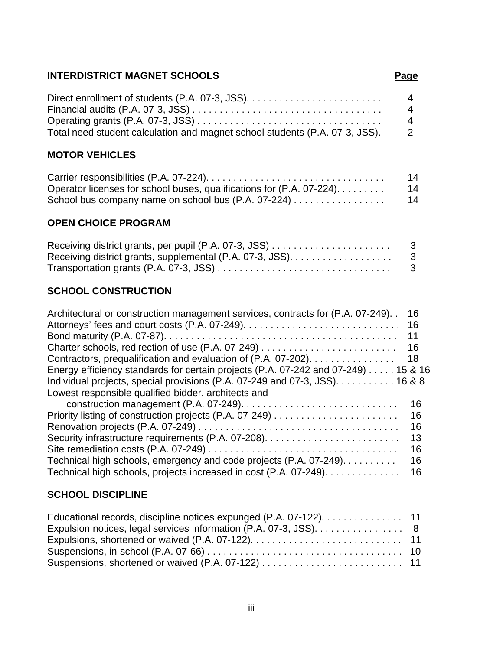## **INTERDISTRICT MAGNET SCHOOLS**

|                                                                             | $\overline{4}$             |
|-----------------------------------------------------------------------------|----------------------------|
|                                                                             | $\overline{4}$             |
|                                                                             | $\overline{4}$             |
| Total need student calculation and magnet school students (P.A. 07-3, JSS). | $\overline{\phantom{a}}^2$ |

## **MOTOR VEHICLES**

|                                                                       | 14 |
|-----------------------------------------------------------------------|----|
| Operator licenses for school buses, qualifications for (P.A. 07-224). | 14 |
|                                                                       | 14 |

## **OPEN CHOICE PROGRAM**

| - 3 |
|-----|
|     |
|     |

## **SCHOOL CONSTRUCTION**

| Architectural or construction management services, contracts for (P.A. 07-249).   | 16<br>16 |
|-----------------------------------------------------------------------------------|----------|
|                                                                                   | 11       |
|                                                                                   | 16       |
| Contractors, prequalification and evaluation of (P.A. 07-202).                    | -18      |
| Energy efficiency standards for certain projects (P.A. 07-242 and 07-249) 15 & 16 |          |
| Individual projects, special provisions (P.A. 07-249 and 07-3, JSS). 16 & 8       |          |
| Lowest responsible qualified bidder, architects and                               |          |
|                                                                                   | 16       |
|                                                                                   | 16       |
|                                                                                   | 16       |
|                                                                                   | 13       |
|                                                                                   | 16       |
| Technical high schools, emergency and code projects (P.A. 07-249).                | 16       |
| Technical high schools, projects increased in cost (P.A. 07-249).                 | 16       |

## **SCHOOL DISCIPLINE**

| Educational records, discipline notices expunged (P.A. 07-122). 11 |  |
|--------------------------------------------------------------------|--|
| Expulsion notices, legal services information (P.A. 07-3, JSS). 8  |  |
|                                                                    |  |
|                                                                    |  |
|                                                                    |  |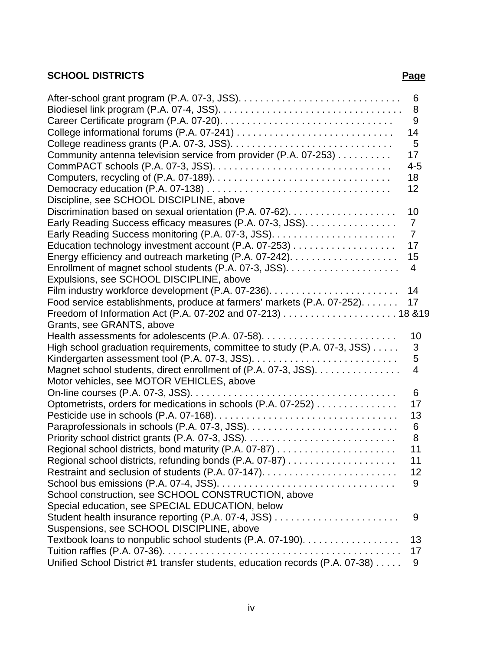## **SCHOOL DISTRICTS Page**

| Community antenna television service from provider (P.A. 07-253)             | 6<br>8<br>9<br>14<br>5<br>17<br>$4 - 5$<br>18 |
|------------------------------------------------------------------------------|-----------------------------------------------|
|                                                                              | 12                                            |
| Discipline, see SCHOOL DISCIPLINE, above                                     |                                               |
|                                                                              | 10                                            |
| Early Reading Success efficacy measures (P.A. 07-3, JSS).                    | $\overline{7}$                                |
|                                                                              | $\overline{7}$                                |
|                                                                              | 17                                            |
|                                                                              | 15                                            |
|                                                                              | 4                                             |
| Expulsions, see SCHOOL DISCIPLINE, above                                     |                                               |
|                                                                              | 14                                            |
| Food service establishments, produce at farmers' markets (P.A. 07-252).      | 17                                            |
|                                                                              |                                               |
| Grants, see GRANTS, above                                                    |                                               |
|                                                                              | 10                                            |
| High school graduation requirements, committee to study (P.A. 07-3, JSS)     | 3                                             |
|                                                                              | 5                                             |
| Magnet school students, direct enrollment of (P.A. 07-3, JSS).               | 4                                             |
| Motor vehicles, see MOTOR VEHICLES, above                                    |                                               |
|                                                                              | 6                                             |
| Optometrists, orders for medications in schools (P.A. 07-252)                | 17                                            |
|                                                                              | 13                                            |
|                                                                              | 6                                             |
|                                                                              | 8                                             |
|                                                                              | 11                                            |
|                                                                              | 11                                            |
|                                                                              | 12                                            |
|                                                                              | 9                                             |
| School construction, see SCHOOL CONSTRUCTION, above                          |                                               |
| Special education, see SPECIAL EDUCATION, below                              | 9                                             |
| Student health insurance reporting (P.A. 07-4, JSS)                          |                                               |
| Suspensions, see SCHOOL DISCIPLINE, above                                    | 13                                            |
| Textbook loans to nonpublic school students (P.A. 07-190).                   | 17                                            |
| Unified School District #1 transfer students, education records (P.A. 07-38) | 9                                             |
|                                                                              |                                               |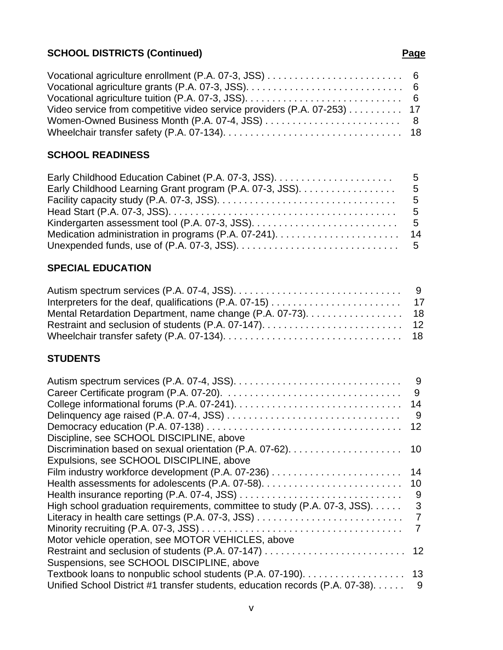# **SCHOOL DISTRICTS (Continued) Page Page**

| Vocational agriculture enrollment (P.A. 07-3, JSS) $\dots \dots \dots \dots \dots \dots \dots \dots$ |  |
|------------------------------------------------------------------------------------------------------|--|
|                                                                                                      |  |
|                                                                                                      |  |
| Video service from competitive video service providers (P.A. 07-253) 17                              |  |
|                                                                                                      |  |
|                                                                                                      |  |

## **SCHOOL READINESS**

## **SPECIAL EDUCATION**

| Mental Retardation Department, name change (P.A. 07-73). 18 |  |
|-------------------------------------------------------------|--|
|                                                             |  |
|                                                             |  |

## **STUDENTS**

|                                                                              | - 9 |
|------------------------------------------------------------------------------|-----|
|                                                                              | 9   |
|                                                                              | 14  |
|                                                                              | - 9 |
|                                                                              | 12  |
| Discipline, see SCHOOL DISCIPLINE, above                                     |     |
|                                                                              |     |
| Expulsions, see SCHOOL DISCIPLINE, above                                     |     |
|                                                                              | 14  |
|                                                                              | 10  |
|                                                                              | 9   |
| High school graduation requirements, committee to study (P.A. 07-3, JSS).    | 3   |
| Literacy in health care settings (P.A. 07-3, JSS)                            | 7   |
|                                                                              |     |
| Motor vehicle operation, see MOTOR VEHICLES, above                           |     |
|                                                                              |     |
| Suspensions, see SCHOOL DISCIPLINE, above                                    |     |
|                                                                              |     |
| Unified School District #1 transfer students, education records (P.A. 07-38) | 9   |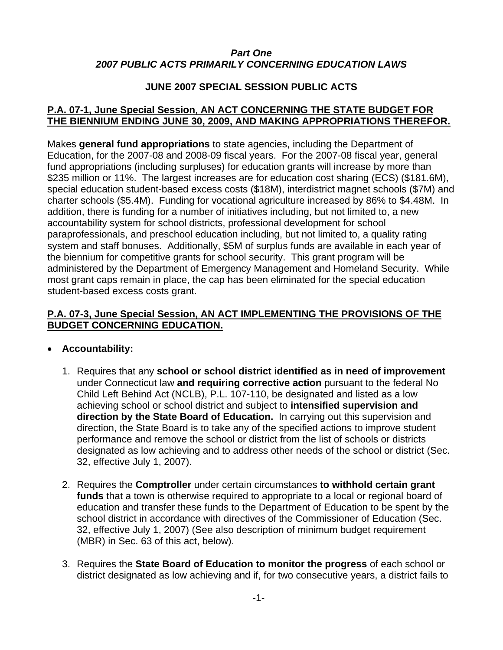#### *Part One 2007 PUBLIC ACTS PRIMARILY CONCERNING EDUCATION LAWS*

#### **JUNE 2007 SPECIAL SESSION PUBLIC ACTS**

#### **P.A. 07-1, June Special Session**, **[AN ACT CONCERNING THE STATE BUDGET FOR](http://www.cga.ct.gov/2007/ACT/PA/2007PA-00001-R00HB-08001SS1-PA.htm)  [THE BIENNIUM ENDING JUNE 30, 2009, AND MAKING APPROPRIATIONS THEREFOR.](http://www.cga.ct.gov/2007/ACT/PA/2007PA-00001-R00HB-08001SS1-PA.htm)**

Makes **general fund appropriations** to state agencies, including the Department of Education, for the 2007-08 and 2008-09 fiscal years. For the 2007-08 fiscal year, general fund appropriations (including surpluses) for education grants will increase by more than \$235 million or 11%. The largest increases are for education cost sharing (ECS) (\$181.6M), special education student-based excess costs (\$18M), interdistrict magnet schools (\$7M) and charter schools (\$5.4M). Funding for vocational agriculture increased by 86% to \$4.48M. In addition, there is funding for a number of initiatives including, but not limited to, a new accountability system for school districts, professional development for school paraprofessionals, and preschool education including, but not limited to, a quality rating system and staff bonuses. Additionally, \$5M of surplus funds are available in each year of the biennium for competitive grants for school security. This grant program will be administered by the Department of Emergency Management and Homeland Security. While most grant caps remain in place, the cap has been eliminated for the special education student-based excess costs grant.

#### **P.A. 07-3, June Special Session, [AN ACT IMPLEMENTING THE PROVISIONS OF THE](http://www.cga.ct.gov/2007/ACT/PA/2007PA-00003-R00HB-08003SS1-PA.htm)  [BUDGET CONCERNING EDUCATION.](http://www.cga.ct.gov/2007/ACT/PA/2007PA-00003-R00HB-08003SS1-PA.htm)**

#### • **Accountability:**

- 1. Requires that any **school or school district identified as in need of improvement** under Connecticut law **and requiring corrective action** pursuant to the federal No Child Left Behind Act (NCLB), P.L. 107-110, be designated and listed as a low achieving school or school district and subject to **intensified supervision and direction by the State Board of Education.** In carrying out this supervision and direction, the State Board is to take any of the specified actions to improve student performance and remove the school or district from the list of schools or districts designated as low achieving and to address other needs of the school or district (Sec. 32, effective July 1, 2007).
- 2. Requires the **Comptroller** under certain circumstances **to withhold certain grant funds** that a town is otherwise required to appropriate to a local or regional board of education and transfer these funds to the Department of Education to be spent by the school district in accordance with directives of the Commissioner of Education (Sec. 32, effective July 1, 2007) (See also description of minimum budget requirement (MBR) in Sec. 63 of this act, below).
- 3. Requires the **State Board of Education to monitor the progress** of each school or district designated as low achieving and if, for two consecutive years, a district fails to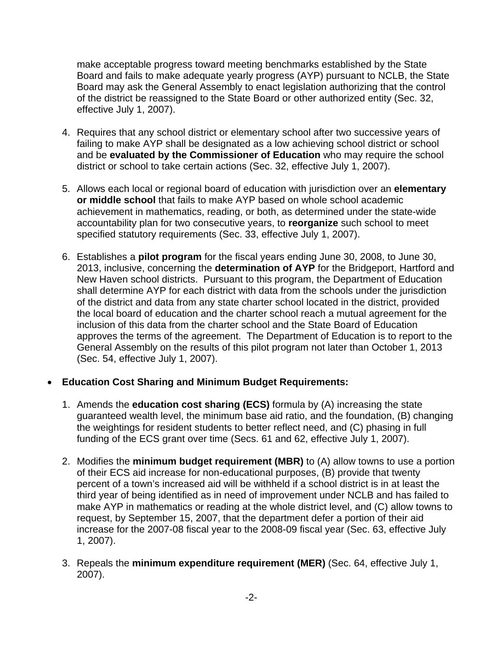make acceptable progress toward meeting benchmarks established by the State Board and fails to make adequate yearly progress (AYP) pursuant to NCLB, the State Board may ask the General Assembly to enact legislation authorizing that the control of the district be reassigned to the State Board or other authorized entity (Sec. 32, effective July 1, 2007).

- 4. Requires that any school district or elementary school after two successive years of failing to make AYP shall be designated as a low achieving school district or school and be **evaluated by the Commissioner of Education** who may require the school district or school to take certain actions (Sec. 32, effective July 1, 2007).
- 5. Allows each local or regional board of education with jurisdiction over an **elementary or middle school** that fails to make AYP based on whole school academic achievement in mathematics, reading, or both, as determined under the state-wide accountability plan for two consecutive years, to **reorganize** such school to meet specified statutory requirements (Sec. 33, effective July 1, 2007).
- 6. Establishes a **pilot program** for the fiscal years ending June 30, 2008, to June 30, 2013, inclusive, concerning the **determination of AYP** for the Bridgeport, Hartford and New Haven school districts. Pursuant to this program, the Department of Education shall determine AYP for each district with data from the schools under the jurisdiction of the district and data from any state charter school located in the district, provided the local board of education and the charter school reach a mutual agreement for the inclusion of this data from the charter school and the State Board of Education approves the terms of the agreement. The Department of Education is to report to the General Assembly on the results of this pilot program not later than October 1, 2013 (Sec. 54, effective July 1, 2007).

#### • **Education Cost Sharing and Minimum Budget Requirements:**

- 1. Amends the **education cost sharing (ECS)** formula by (A) increasing the state guaranteed wealth level, the minimum base aid ratio, and the foundation, (B) changing the weightings for resident students to better reflect need, and (C) phasing in full funding of the ECS grant over time (Secs. 61 and 62, effective July 1, 2007).
- 2. Modifies the **minimum budget requirement (MBR)** to (A) allow towns to use a portion of their ECS aid increase for non-educational purposes, (B) provide that twenty percent of a town's increased aid will be withheld if a school district is in at least the third year of being identified as in need of improvement under NCLB and has failed to make AYP in mathematics or reading at the whole district level, and (C) allow towns to request, by September 15, 2007, that the department defer a portion of their aid increase for the 2007-08 fiscal year to the 2008-09 fiscal year (Sec. 63, effective July 1, 2007).
- 3. Repeals the **minimum expenditure requirement (MER)** (Sec. 64, effective July 1, 2007).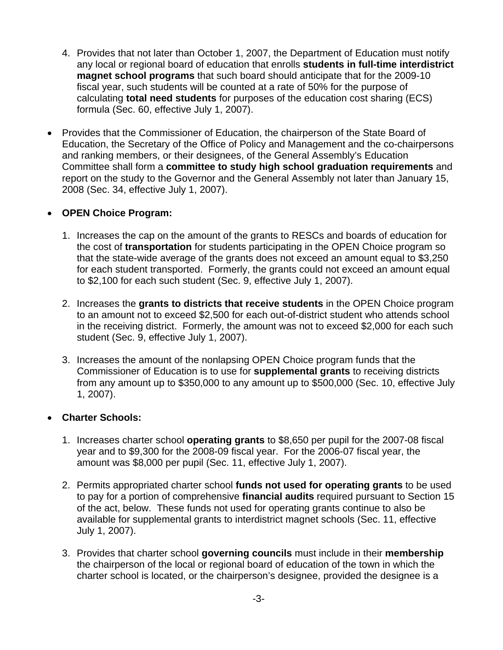- 4. Provides that not later than October 1, 2007, the Department of Education must notify any local or regional board of education that enrolls **students in full-time interdistrict magnet school programs** that such board should anticipate that for the 2009-10 fiscal year, such students will be counted at a rate of 50% for the purpose of calculating **total need students** for purposes of the education cost sharing (ECS) formula (Sec. 60, effective July 1, 2007).
- Provides that the Commissioner of Education, the chairperson of the State Board of Education, the Secretary of the Office of Policy and Management and the co-chairpersons and ranking members, or their designees, of the General Assembly's Education Committee shall form a **committee to study high school graduation requirements** and report on the study to the Governor and the General Assembly not later than January 15, 2008 (Sec. 34, effective July 1, 2007).

#### • **OPEN Choice Program:**

- 1. Increases the cap on the amount of the grants to RESCs and boards of education for the cost of **transportation** for students participating in the OPEN Choice program so that the state-wide average of the grants does not exceed an amount equal to \$3,250 for each student transported. Formerly, the grants could not exceed an amount equal to \$2,100 for each such student (Sec. 9, effective July 1, 2007).
- 2. Increases the **grants to districts that receive students** in the OPEN Choice program to an amount not to exceed \$2,500 for each out-of-district student who attends school in the receiving district. Formerly, the amount was not to exceed \$2,000 for each such student (Sec. 9, effective July 1, 2007).
- 3. Increases the amount of the nonlapsing OPEN Choice program funds that the Commissioner of Education is to use for **supplemental grants** to receiving districts from any amount up to \$350,000 to any amount up to \$500,000 (Sec. 10, effective July 1, 2007).

#### • **Charter Schools:**

- 1. Increases charter school **operating grants** to \$8,650 per pupil for the 2007-08 fiscal year and to \$9,300 for the 2008-09 fiscal year. For the 2006-07 fiscal year, the amount was \$8,000 per pupil (Sec. 11, effective July 1, 2007).
- 2. Permits appropriated charter school **funds not used for operating grants** to be used to pay for a portion of comprehensive **financial audits** required pursuant to Section 15 of the act, below. These funds not used for operating grants continue to also be available for supplemental grants to interdistrict magnet schools (Sec. 11, effective July 1, 2007).
- 3. Provides that charter school **governing councils** must include in their **membership** the chairperson of the local or regional board of education of the town in which the charter school is located, or the chairperson's designee, provided the designee is a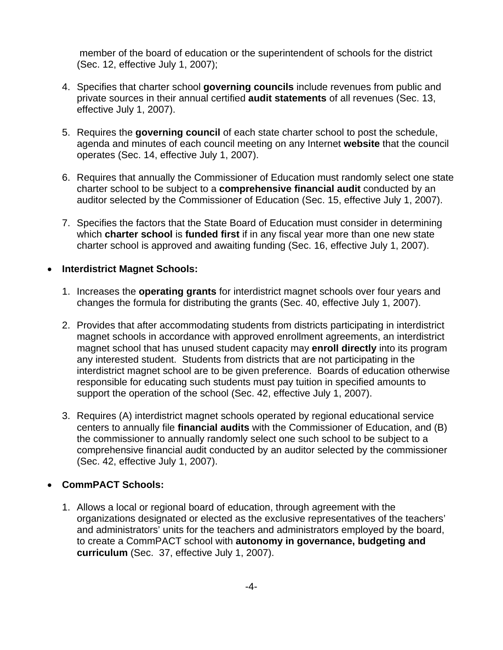member of the board of education or the superintendent of schools for the district (Sec. 12, effective July 1, 2007);

- 4. Specifies that charter school **governing councils** include revenues from public and private sources in their annual certified **audit statements** of all revenues (Sec. 13, effective July 1, 2007).
- 5. Requires the **governing council** of each state charter school to post the schedule, agenda and minutes of each council meeting on any Internet **website** that the council operates (Sec. 14, effective July 1, 2007).
- 6. Requires that annually the Commissioner of Education must randomly select one state charter school to be subject to a **comprehensive financial audit** conducted by an auditor selected by the Commissioner of Education (Sec. 15, effective July 1, 2007).
- 7. Specifies the factors that the State Board of Education must consider in determining which **charter school** is **funded first** if in any fiscal year more than one new state charter school is approved and awaiting funding (Sec. 16, effective July 1, 2007).

#### • **Interdistrict Magnet Schools:**

- 1. Increases the **operating grants** for interdistrict magnet schools over four years and changes the formula for distributing the grants (Sec. 40, effective July 1, 2007).
- 2. Provides that after accommodating students from districts participating in interdistrict magnet schools in accordance with approved enrollment agreements, an interdistrict magnet school that has unused student capacity may **enroll directly** into its program any interested student. Students from districts that are not participating in the interdistrict magnet school are to be given preference. Boards of education otherwise responsible for educating such students must pay tuition in specified amounts to support the operation of the school (Sec. 42, effective July 1, 2007).
- 3. Requires (A) interdistrict magnet schools operated by regional educational service centers to annually file **financial audits** with the Commissioner of Education, and (B) the commissioner to annually randomly select one such school to be subject to a comprehensive financial audit conducted by an auditor selected by the commissioner (Sec. 42, effective July 1, 2007).

#### • **CommPACT Schools:**

1. Allows a local or regional board of education, through agreement with the organizations designated or elected as the exclusive representatives of the teachers' and administrators' units for the teachers and administrators employed by the board, to create a CommPACT school with **autonomy in governance, budgeting and curriculum** (Sec. 37, effective July 1, 2007).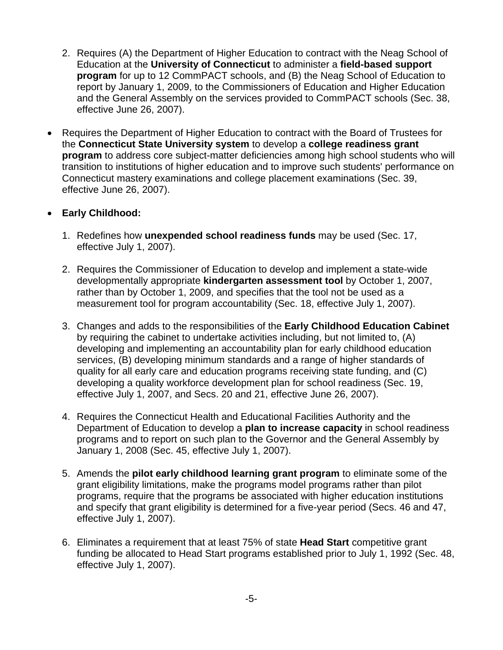- 2. Requires (A) the Department of Higher Education to contract with the Neag School of Education at the **University of Connecticut** to administer a **field-based support program** for up to 12 CommPACT schools, and (B) the Neag School of Education to report by January 1, 2009, to the Commissioners of Education and Higher Education and the General Assembly on the services provided to CommPACT schools (Sec. 38, effective June 26, 2007).
- Requires the Department of Higher Education to contract with the Board of Trustees for the **Connecticut State University system** to develop a **college readiness grant program** to address core subject-matter deficiencies among high school students who will transition to institutions of higher education and to improve such students' performance on Connecticut mastery examinations and college placement examinations (Sec. 39, effective June 26, 2007).

#### • **Early Childhood:**

- 1. Redefines how **unexpended school readiness funds** may be used (Sec. 17, effective July 1, 2007).
- 2. Requires the Commissioner of Education to develop and implement a state-wide developmentally appropriate **kindergarten assessment tool** by October 1, 2007, rather than by October 1, 2009, and specifies that the tool not be used as a measurement tool for program accountability (Sec. 18, effective July 1, 2007).
- 3. Changes and adds to the responsibilities of the **Early Childhood Education Cabinet** by requiring the cabinet to undertake activities including, but not limited to, (A) developing and implementing an accountability plan for early childhood education services, (B) developing minimum standards and a range of higher standards of quality for all early care and education programs receiving state funding, and (C) developing a quality workforce development plan for school readiness (Sec. 19, effective July 1, 2007, and Secs. 20 and 21, effective June 26, 2007).
- 4. Requires the Connecticut Health and Educational Facilities Authority and the Department of Education to develop a **plan to increase capacity** in school readiness programs and to report on such plan to the Governor and the General Assembly by January 1, 2008 (Sec. 45, effective July 1, 2007).
- 5. Amends the **pilot early childhood learning grant program** to eliminate some of the grant eligibility limitations, make the programs model programs rather than pilot programs, require that the programs be associated with higher education institutions and specify that grant eligibility is determined for a five-year period (Secs. 46 and 47, effective July 1, 2007).
- 6. Eliminates a requirement that at least 75% of state **Head Start** competitive grant funding be allocated to Head Start programs established prior to July 1, 1992 (Sec. 48, effective July 1, 2007).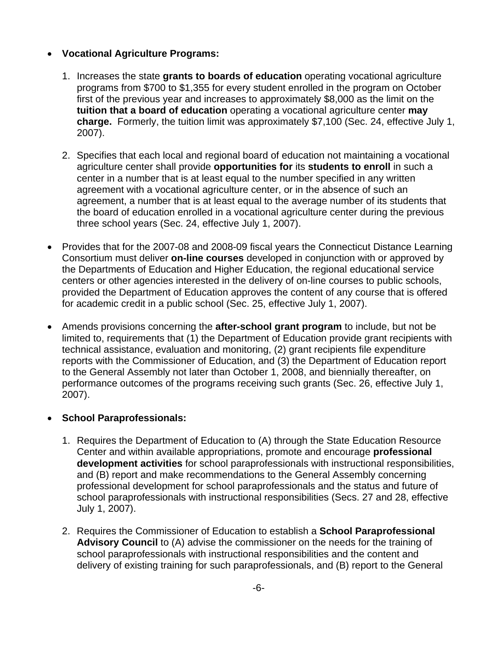#### • **Vocational Agriculture Programs:**

- 1. Increases the state **grants to boards of education** operating vocational agriculture programs from \$700 to \$1,355 for every student enrolled in the program on October first of the previous year and increases to approximately \$8,000 as the limit on the **tuition that a board of education** operating a vocational agriculture center **may charge.** Formerly, the tuition limit was approximately \$7,100 (Sec. 24, effective July 1, 2007).
- 2. Specifies that each local and regional board of education not maintaining a vocational agriculture center shall provide **opportunities for** its **students to enroll** in such a center in a number that is at least equal to the number specified in any written agreement with a vocational agriculture center, or in the absence of such an agreement, a number that is at least equal to the average number of its students that the board of education enrolled in a vocational agriculture center during the previous three school years (Sec. 24, effective July 1, 2007).
- Provides that for the 2007-08 and 2008-09 fiscal years the Connecticut Distance Learning Consortium must deliver **on-line courses** developed in conjunction with or approved by the Departments of Education and Higher Education, the regional educational service centers or other agencies interested in the delivery of on-line courses to public schools, provided the Department of Education approves the content of any course that is offered for academic credit in a public school (Sec. 25, effective July 1, 2007).
- Amends provisions concerning the **after-school grant program** to include, but not be limited to, requirements that (1) the Department of Education provide grant recipients with technical assistance, evaluation and monitoring, (2) grant recipients file expenditure reports with the Commissioner of Education, and (3) the Department of Education report to the General Assembly not later than October 1, 2008, and biennially thereafter, on performance outcomes of the programs receiving such grants (Sec. 26, effective July 1, 2007).

#### • **School Paraprofessionals:**

- 1. Requires the Department of Education to (A) through the State Education Resource Center and within available appropriations, promote and encourage **professional development activities** for school paraprofessionals with instructional responsibilities, and (B) report and make recommendations to the General Assembly concerning professional development for school paraprofessionals and the status and future of school paraprofessionals with instructional responsibilities (Secs. 27 and 28, effective July 1, 2007).
- 2. Requires the Commissioner of Education to establish a **School Paraprofessional Advisory Council** to (A) advise the commissioner on the needs for the training of school paraprofessionals with instructional responsibilities and the content and delivery of existing training for such paraprofessionals, and (B) report to the General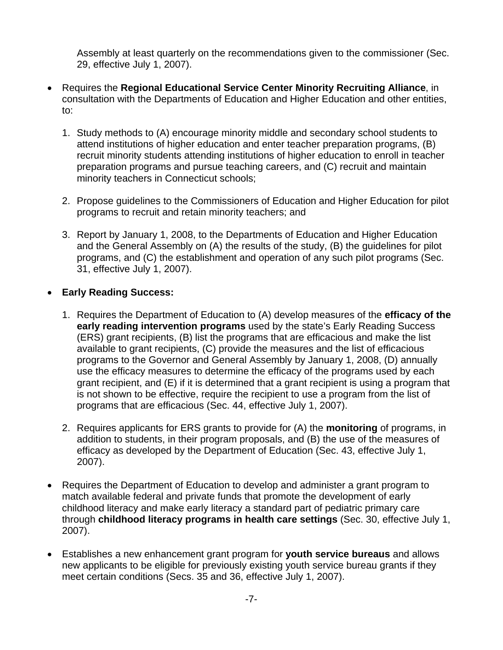Assembly at least quarterly on the recommendations given to the commissioner (Sec. 29, effective July 1, 2007).

- Requires the **Regional Educational Service Center Minority Recruiting Alliance**, in consultation with the Departments of Education and Higher Education and other entities, to:
	- 1. Study methods to (A) encourage minority middle and secondary school students to attend institutions of higher education and enter teacher preparation programs, (B) recruit minority students attending institutions of higher education to enroll in teacher preparation programs and pursue teaching careers, and (C) recruit and maintain minority teachers in Connecticut schools;
	- 2. Propose guidelines to the Commissioners of Education and Higher Education for pilot programs to recruit and retain minority teachers; and
	- 3. Report by January 1, 2008, to the Departments of Education and Higher Education and the General Assembly on (A) the results of the study, (B) the guidelines for pilot programs, and (C) the establishment and operation of any such pilot programs (Sec. 31, effective July 1, 2007).

#### • **Early Reading Success:**

- 1. Requires the Department of Education to (A) develop measures of the **efficacy of the early reading intervention programs** used by the state's Early Reading Success (ERS) grant recipients, (B) list the programs that are efficacious and make the list available to grant recipients, (C) provide the measures and the list of efficacious programs to the Governor and General Assembly by January 1, 2008, (D) annually use the efficacy measures to determine the efficacy of the programs used by each grant recipient, and (E) if it is determined that a grant recipient is using a program that is not shown to be effective, require the recipient to use a program from the list of programs that are efficacious (Sec. 44, effective July 1, 2007).
- 2. Requires applicants for ERS grants to provide for (A) the **monitoring** of programs, in addition to students, in their program proposals, and (B) the use of the measures of efficacy as developed by the Department of Education (Sec. 43, effective July 1, 2007).
- Requires the Department of Education to develop and administer a grant program to match available federal and private funds that promote the development of early childhood literacy and make early literacy a standard part of pediatric primary care through **childhood literacy programs in health care settings** (Sec. 30, effective July 1, 2007).
- Establishes a new enhancement grant program for **youth service bureaus** and allows new applicants to be eligible for previously existing youth service bureau grants if they meet certain conditions (Secs. 35 and 36, effective July 1, 2007).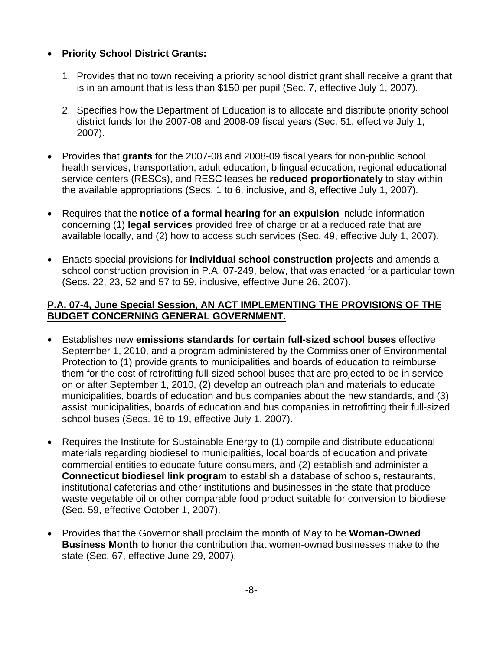#### • **Priority School District Grants:**

- 1. Provides that no town receiving a priority school district grant shall receive a grant that is in an amount that is less than \$150 per pupil (Sec. 7, effective July 1, 2007).
- 2. Specifies how the Department of Education is to allocate and distribute priority school district funds for the 2007-08 and 2008-09 fiscal years (Sec. 51, effective July 1, 2007).
- Provides that **grants** for the 2007-08 and 2008-09 fiscal years for non-public school health services, transportation, adult education, bilingual education, regional educational service centers (RESCs), and RESC leases be **reduced proportionately** to stay within the available appropriations (Secs. 1 to 6, inclusive, and 8, effective July 1, 2007).
- Requires that the **notice of a formal hearing for an expulsion** include information concerning (1) **legal services** provided free of charge or at a reduced rate that are available locally, and (2) how to access such services (Sec. 49, effective July 1, 2007).
- Enacts special provisions for **individual school construction projects** and amends a school construction provision in P.A. 07-249, below, that was enacted for a particular town (Secs. 22, 23, 52 and 57 to 59, inclusive, effective June 26, 2007).

#### **P.A. 07-4, June Special Session, [AN ACT IMPLEMENTING THE PROVISIONS OF THE](http://www.cga.ct.gov/2007/ACT/PA/2007PA-00004-R00SB-01500SS1-PA.htm)  [BUDGET CONCERNING GENERAL GOVERNMENT.](http://www.cga.ct.gov/2007/ACT/PA/2007PA-00004-R00SB-01500SS1-PA.htm)**

- Establishes new **emissions standards for certain full-sized school buses** effective September 1, 2010, and a program administered by the Commissioner of Environmental Protection to (1) provide grants to municipalities and boards of education to reimburse them for the cost of retrofitting full-sized school buses that are projected to be in service on or after September 1, 2010, (2) develop an outreach plan and materials to educate municipalities, boards of education and bus companies about the new standards, and (3) assist municipalities, boards of education and bus companies in retrofitting their full-sized school buses (Secs. 16 to 19, effective July 1, 2007).
- Requires the Institute for Sustainable Energy to (1) compile and distribute educational materials regarding biodiesel to municipalities, local boards of education and private commercial entities to educate future consumers, and (2) establish and administer a **Connecticut biodiesel link program** to establish a database of schools, restaurants, institutional cafeterias and other institutions and businesses in the state that produce waste vegetable oil or other comparable food product suitable for conversion to biodiesel (Sec. 59, effective October 1, 2007).
- Provides that the Governor shall proclaim the month of May to be **Woman-Owned Business Month** to honor the contribution that women-owned businesses make to the state (Sec. 67, effective June 29, 2007).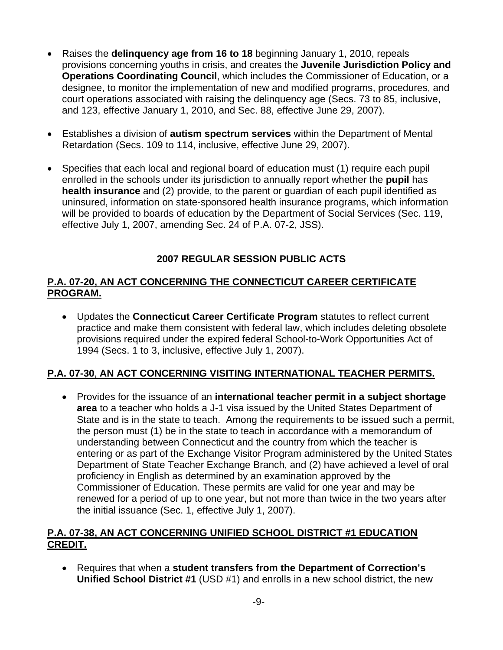- Raises the **delinquency age from 16 to 18** beginning January 1, 2010, repeals provisions concerning youths in crisis, and creates the **Juvenile Jurisdiction Policy and Operations Coordinating Council**, which includes the Commissioner of Education, or a designee, to monitor the implementation of new and modified programs, procedures, and court operations associated with raising the delinquency age (Secs. 73 to 85, inclusive, and 123, effective January 1, 2010, and Sec. 88, effective June 29, 2007).
- Establishes a division of **autism spectrum services** within the Department of Mental Retardation (Secs. 109 to 114, inclusive, effective June 29, 2007).
- Specifies that each local and regional board of education must (1) require each pupil enrolled in the schools under its jurisdiction to annually report whether the **pupil** has **health insurance** and (2) provide, to the parent or guardian of each pupil identified as uninsured, information on state-sponsored health insurance programs, which information will be provided to boards of education by the Department of Social Services (Sec. 119, effective July 1, 2007, amending Sec. 24 of P.A. 07-2, JSS).

## **2007 REGULAR SESSION PUBLIC ACTS**

#### **P.A. 07-20, [AN ACT CONCERNING THE CONNECTICUT CAREER CERTIFICATE](http://www.cga.ct.gov/2007/ACT/PA/2007PA-00020-R00SB-01285-PA.htm)  [PROGRAM.](http://www.cga.ct.gov/2007/ACT/PA/2007PA-00020-R00SB-01285-PA.htm)**

• Updates the **Connecticut Career Certificate Program** statutes to reflect current practice and make them consistent with federal law, which includes deleting obsolete provisions required under the expired federal School-to-Work Opportunities Act of 1994 (Secs. 1 to 3, inclusive, effective July 1, 2007).

#### **P.A. 07-30**, **[AN ACT CONCERNING VISITING INTERNATIONAL TEACHER PERMITS.](http://www.cga.ct.gov/2007/ACT/PA/2007PA-00030-R00SB-01287-PA.htm)**

• Provides for the issuance of an **international teacher permit in a subject shortage area** to a teacher who holds a J-1 visa issued by the United States Department of State and is in the state to teach. Among the requirements to be issued such a permit, the person must (1) be in the state to teach in accordance with a memorandum of understanding between Connecticut and the country from which the teacher is entering or as part of the Exchange Visitor Program administered by the United States Department of State Teacher Exchange Branch, and (2) have achieved a level of oral proficiency in English as determined by an examination approved by the Commissioner of Education. These permits are valid for one year and may be renewed for a period of up to one year, but not more than twice in the two years after the initial issuance (Sec. 1, effective July 1, 2007).

## **P.A. 07-38, [AN ACT CONCERNING UNIFIED SCHOOL DISTRICT #1 EDUCATION](http://www.cga.ct.gov/2007/ACT/PA/2007PA-00038-R00SB-01113-PA.htm)  [CREDIT.](http://www.cga.ct.gov/2007/ACT/PA/2007PA-00038-R00SB-01113-PA.htm)**

• Requires that when a **student transfers from the Department of Correction's Unified School District #1** (USD #1) and enrolls in a new school district, the new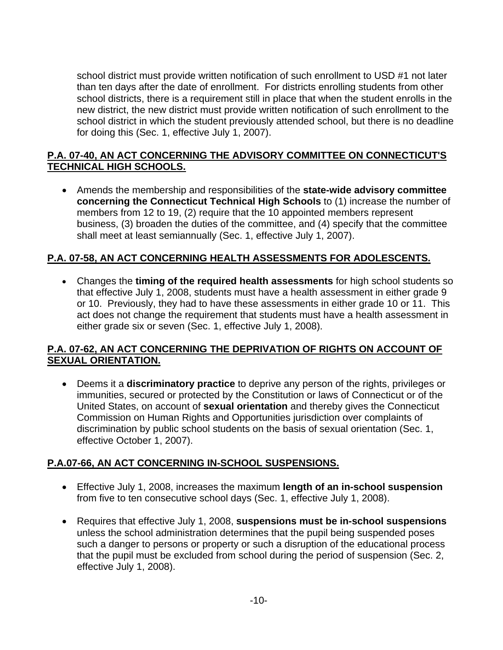school district must provide written notification of such enrollment to USD #1 not later than ten days after the date of enrollment. For districts enrolling students from other school districts, there is a requirement still in place that when the student enrolls in the new district, the new district must provide written notification of such enrollment to the school district in which the student previously attended school, but there is no deadline for doing this (Sec. 1, effective July 1, 2007).

#### **P.A. 07-40, [AN ACT CONCERNING THE ADVISORY COMMITTEE ON CONNECTICUT'S](http://www.cga.ct.gov/2007/ACT/PA/2007PA-00040-R00SB-01283-PA.htm)  [TECHNICAL HIGH SCHOOLS.](http://www.cga.ct.gov/2007/ACT/PA/2007PA-00040-R00SB-01283-PA.htm)**

• Amends the membership and responsibilities of the **state-wide advisory committee concerning the Connecticut Technical High Schools** to (1) increase the number of members from 12 to 19, (2) require that the 10 appointed members represent business, (3) broaden the duties of the committee, and (4) specify that the committee shall meet at least semiannually (Sec. 1, effective July 1, 2007).

## **P.A. 07-58, [AN ACT CONCERNING HEALTH ASSESSMENTS FOR ADOLESCENTS.](http://www.cga.ct.gov/2007/ACT/PA/2007PA-00058-R00SB-00260-PA.htm)**

• Changes the **timing of the required health assessments** for high school students so that effective July 1, 2008, students must have a health assessment in either grade 9 or 10. Previously, they had to have these assessments in either grade 10 or 11. This act does not change the requirement that students must have a health assessment in either grade six or seven (Sec. 1, effective July 1, 2008).

#### **P.A. 07-62, [AN ACT CONCERNING THE DEPRIVATION OF RIGHTS ON ACCOUNT OF](http://www.cga.ct.gov/2007/ACT/PA/2007PA-00062-R00SB-01109-PA.htm)  [SEXUAL ORIENTATION.](http://www.cga.ct.gov/2007/ACT/PA/2007PA-00062-R00SB-01109-PA.htm)**

• Deems it a **discriminatory practice** to deprive any person of the rights, privileges or immunities, secured or protected by the Constitution or laws of Connecticut or of the United States, on account of **sexual orientation** and thereby gives the Connecticut Commission on Human Rights and Opportunities jurisdiction over complaints of discrimination by public school students on the basis of sexual orientation (Sec. 1, effective October 1, 2007).

#### **P.A.07-66, [AN ACT CONCERNING IN-SCHOOL SUSPENSIONS.](http://www.cga.ct.gov/2007/ACT/PA/2007PA-00066-R00HB-07350-PA.htm)**

- Effective July 1, 2008, increases the maximum **length of an in-school suspension** from five to ten consecutive school days (Sec. 1, effective July 1, 2008).
- Requires that effective July 1, 2008, **suspensions must be in-school suspensions** unless the school administration determines that the pupil being suspended poses such a danger to persons or property or such a disruption of the educational process that the pupil must be excluded from school during the period of suspension (Sec. 2, effective July 1, 2008).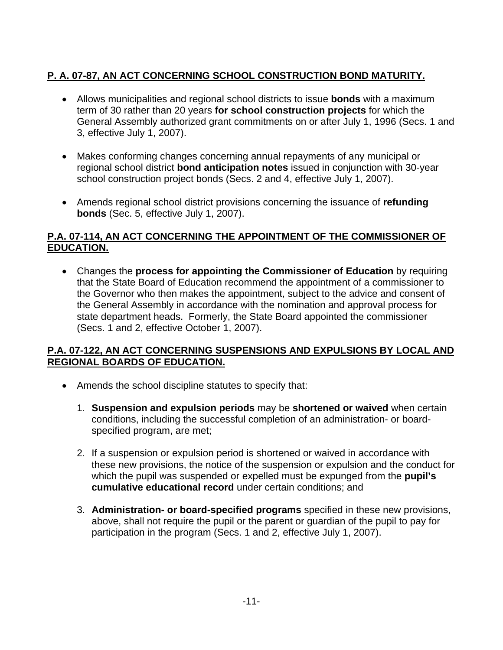## **P. A. 07-87, [AN ACT CONCERNING SCHOOL CONSTRUCTION BOND MATURITY.](http://www.cga.ct.gov/2007/ACT/PA/2007PA-00087-R00HB-07385-PA.htm)**

- Allows municipalities and regional school districts to issue **bonds** with a maximum term of 30 rather than 20 years **for school construction projects** for which the General Assembly authorized grant commitments on or after July 1, 1996 (Secs. 1 and 3, effective July 1, 2007).
- Makes conforming changes concerning annual repayments of any municipal or regional school district **bond anticipation notes** issued in conjunction with 30-year school construction project bonds (Secs. 2 and 4, effective July 1, 2007).
- Amends regional school district provisions concerning the issuance of **refunding bonds** (Sec. 5, effective July 1, 2007).

#### **P.A. 07-114, [AN ACT CONCERNING THE APPOINTMENT OF THE COMMISSIONER OF](http://www.cga.ct.gov/2007/ACT/PA/2007PA-00114-R00SB-01354-PA.htm)  [EDUCATION.](http://www.cga.ct.gov/2007/ACT/PA/2007PA-00114-R00SB-01354-PA.htm)**

• Changes the **process for appointing the Commissioner of Education** by requiring that the State Board of Education recommend the appointment of a commissioner to the Governor who then makes the appointment, subject to the advice and consent of the General Assembly in accordance with the nomination and approval process for state department heads. Formerly, the State Board appointed the commissioner (Secs. 1 and 2, effective October 1, 2007).

#### **P.A. 07-122, [AN ACT CONCERNING SUSPENSIONS AND EXPULSIONS BY LOCAL AND](http://www.cga.ct.gov/2007/ACT/PA/2007PA-00122-R00HB-07273-PA.htm)  [REGIONAL BOARDS OF EDUCATION.](http://www.cga.ct.gov/2007/ACT/PA/2007PA-00122-R00HB-07273-PA.htm)**

- Amends the school discipline statutes to specify that:
	- 1. **Suspension and expulsion periods** may be **shortened or waived** when certain conditions, including the successful completion of an administration- or boardspecified program, are met;
	- 2. If a suspension or expulsion period is shortened or waived in accordance with these new provisions, the notice of the suspension or expulsion and the conduct for which the pupil was suspended or expelled must be expunged from the **pupil's cumulative educational record** under certain conditions; and
	- 3. **Administration- or board-specified programs** specified in these new provisions, above, shall not require the pupil or the parent or guardian of the pupil to pay for participation in the program (Secs. 1 and 2, effective July 1, 2007).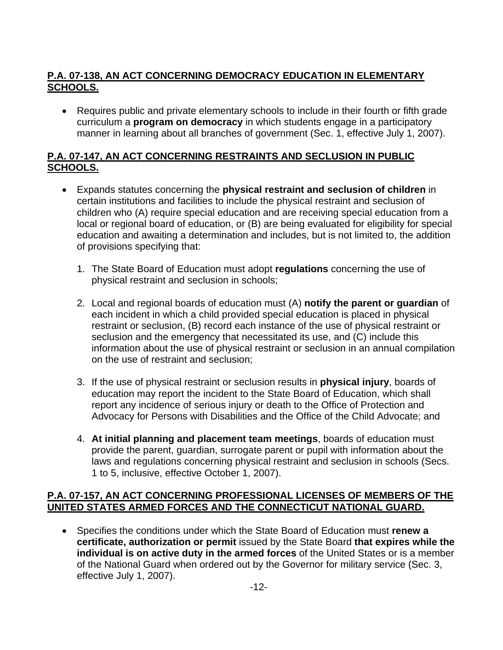## **P.A. 07-138, [AN ACT CONCERNING DEMOCRACY EDUCATION IN ELEMENTARY](http://www.cga.ct.gov/2007/ACT/PA/2007PA-00138-R00HB-07017-PA.htm)  [SCHOOLS.](http://www.cga.ct.gov/2007/ACT/PA/2007PA-00138-R00HB-07017-PA.htm)**

• Requires public and private elementary schools to include in their fourth or fifth grade curriculum a **program on democracy** in which students engage in a participatory manner in learning about all branches of government (Sec. 1, effective July 1, 2007).

## **P.A. 07-147, [AN ACT CONCERNING RESTRAINTS AND SECLUSION IN PUBLIC](http://www.cga.ct.gov/2007/ACT/PA/2007PA-00147-R00SB-00977-PA.htm)  [SCHOOLS.](http://www.cga.ct.gov/2007/ACT/PA/2007PA-00147-R00SB-00977-PA.htm)**

- Expands statutes concerning the **physical restraint and seclusion of children** in certain institutions and facilities to include the physical restraint and seclusion of children who (A) require special education and are receiving special education from a local or regional board of education, or (B) are being evaluated for eligibility for special education and awaiting a determination and includes, but is not limited to, the addition of provisions specifying that:
	- 1. The State Board of Education must adopt **regulations** concerning the use of physical restraint and seclusion in schools;
	- 2. Local and regional boards of education must (A) **notify the parent or guardian** of each incident in which a child provided special education is placed in physical restraint or seclusion, (B) record each instance of the use of physical restraint or seclusion and the emergency that necessitated its use, and (C) include this information about the use of physical restraint or seclusion in an annual compilation on the use of restraint and seclusion;
	- 3. If the use of physical restraint or seclusion results in **physical injury**, boards of education may report the incident to the State Board of Education, which shall report any incidence of serious injury or death to the Office of Protection and Advocacy for Persons with Disabilities and the Office of the Child Advocate; and
	- 4. **At initial planning and placement team meetings**, boards of education must provide the parent, guardian, surrogate parent or pupil with information about the laws and regulations concerning physical restraint and seclusion in schools (Secs. 1 to 5, inclusive, effective October 1, 2007).

## **P.A. 07-157, [AN ACT CONCERNING PROFESSIONAL LICENSES OF MEMBERS OF THE](http://www.cga.ct.gov/2007/ACT/PA/2007PA-00157-R00HB-07167-PA.htm)  [UNITED STATES ARMED FORCES AND THE CONNECTICUT NATIONAL GUARD.](http://www.cga.ct.gov/2007/ACT/PA/2007PA-00157-R00HB-07167-PA.htm)**

• Specifies the conditions under which the State Board of Education must **renew a certificate, authorization or permit** issued by the State Board **that expires while the individual is on active duty in the armed forces** of the United States or is a member of the National Guard when ordered out by the Governor for military service (Sec. 3, effective July 1, 2007).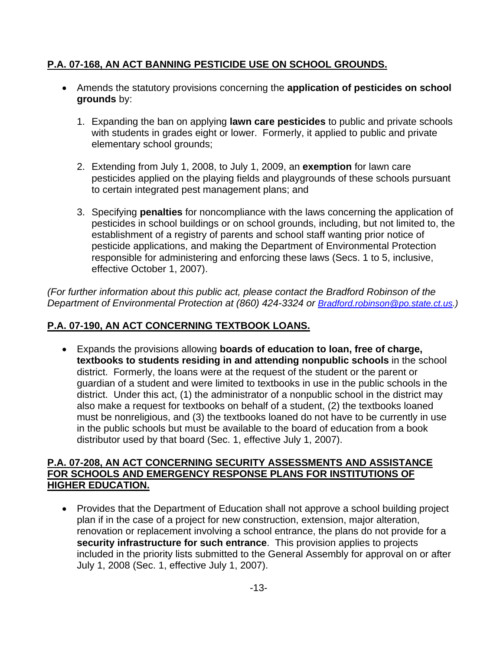## **P.A. 07-168, [AN ACT BANNING PESTICIDE USE ON SCHOOL GROUNDS.](http://www.cga.ct.gov/2007/ACT/PA/2007PA-00168-R00HB-05234-PA.htm)**

- Amends the statutory provisions concerning the **application of pesticides on school grounds** by:
	- 1. Expanding the ban on applying **lawn care pesticides** to public and private schools with students in grades eight or lower. Formerly, it applied to public and private elementary school grounds;
	- 2. Extending from July 1, 2008, to July 1, 2009, an **exemption** for lawn care pesticides applied on the playing fields and playgrounds of these schools pursuant to certain integrated pest management plans; and
	- 3. Specifying **penalties** for noncompliance with the laws concerning the application of pesticides in school buildings or on school grounds, including, but not limited to, the establishment of a registry of parents and school staff wanting prior notice of pesticide applications, and making the Department of Environmental Protection responsible for administering and enforcing these laws (Secs. 1 to 5, inclusive, effective October 1, 2007).

*(For further information about this public act, please contact the Bradford Robinson of the Department of Environmental Protection at (860) 424-3324 or [Bradford.robinson@po.state.ct.us](mailto:Bradford.robinson@po.state.ct.us).)* 

## **P.A. 07-190, [AN ACT CONCERNING TEXTBOOK LOANS.](http://www.cga.ct.gov/2007/ACT/PA/2007PA-00190-R00HB-07351-PA.htm)**

• Expands the provisions allowing **boards of education to loan, free of charge, textbooks to students residing in and attending nonpublic schools** in the school district. Formerly, the loans were at the request of the student or the parent or guardian of a student and were limited to textbooks in use in the public schools in the district. Under this act, (1) the administrator of a nonpublic school in the district may also make a request for textbooks on behalf of a student, (2) the textbooks loaned must be nonreligious, and (3) the textbooks loaned do not have to be currently in use in the public schools but must be available to the board of education from a book distributor used by that board (Sec. 1, effective July 1, 2007).

#### **P.A. 07-208, [AN ACT CONCERNING SECURITY ASSESSMENTS AND ASSISTANCE](http://www.cga.ct.gov/2007/ACT/PA/2007PA-00208-R00SB-01110-PA.htm)  [FOR SCHOOLS AND EMERGENCY RESPONSE PLANS FOR INSTITUTIONS OF](http://www.cga.ct.gov/2007/ACT/PA/2007PA-00208-R00SB-01110-PA.htm)  [HIGHER EDUCATION.](http://www.cga.ct.gov/2007/ACT/PA/2007PA-00208-R00SB-01110-PA.htm)**

• Provides that the Department of Education shall not approve a school building project plan if in the case of a project for new construction, extension, major alteration, renovation or replacement involving a school entrance, the plans do not provide for a **security infrastructure for such entrance**. This provision applies to projects included in the priority lists submitted to the General Assembly for approval on or after July 1, 2008 (Sec. 1, effective July 1, 2007).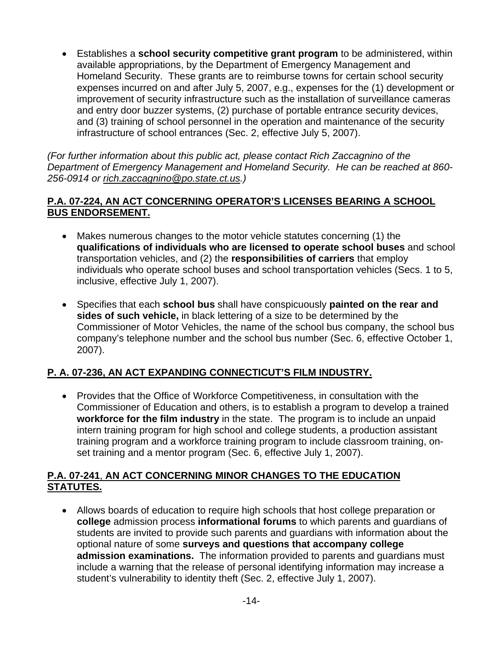• Establishes a **school security competitive grant program** to be administered, within available appropriations, by the Department of Emergency Management and Homeland Security. These grants are to reimburse towns for certain school security expenses incurred on and after July 5, 2007, e.g., expenses for the (1) development or improvement of security infrastructure such as the installation of surveillance cameras and entry door buzzer systems, (2) purchase of portable entrance security devices, and (3) training of school personnel in the operation and maintenance of the security infrastructure of school entrances (Sec. 2, effective July 5, 2007).

*(For further information about this public act, please contact Rich Zaccagnino of the Department of Emergency Management and Homeland Security. He can be reached at 860- 256-0914 or [rich.zaccagnino@po.state.ct.us.](mailto:rich.zaccagnino@po.state.ct.us))* 

#### **P.A. 07-224, [AN ACT CONCERNING OPERATOR'S LICENSES BEARING A SCHOOL](http://www.cga.ct.gov/2007/ACT/PA/2007PA-00224-R00HB-06955-PA.htm)  [BUS ENDORSEMENT.](http://www.cga.ct.gov/2007/ACT/PA/2007PA-00224-R00HB-06955-PA.htm)**

- Makes numerous changes to the motor vehicle statutes concerning (1) the **qualifications of individuals who are licensed to operate school buses** and school transportation vehicles, and (2) the **responsibilities of carriers** that employ individuals who operate school buses and school transportation vehicles (Secs. 1 to 5, inclusive, effective July 1, 2007).
- Specifies that each **school bus** shall have conspicuously **painted on the rear and sides of such vehicle,** in black lettering of a size to be determined by the Commissioner of Motor Vehicles, the name of the school bus company, the school bus company's telephone number and the school bus number (Sec. 6, effective October 1, 2007).

## **P. A. 07-236, [AN ACT EXPANDING CONNECTICUT'S FILM INDUSTRY.](http://www.cga.ct.gov/2007/ACT/PA/2007PA-00236-R00HB-06500-PA.htm)**

• Provides that the Office of Workforce Competitiveness, in consultation with the Commissioner of Education and others, is to establish a program to develop a trained **workforce for the film industry** in the state. The program is to include an unpaid intern training program for high school and college students, a production assistant training program and a workforce training program to include classroom training, onset training and a mentor program (Sec. 6, effective July 1, 2007).

## **P.A. 07-241**, **[AN ACT CONCERNING MINOR CHANGES TO THE EDUCATION](http://www.cga.ct.gov/2007/ACT/PA/2007PA-00241-R00HB-07347-PA.htm)  [STATUTES.](http://www.cga.ct.gov/2007/ACT/PA/2007PA-00241-R00HB-07347-PA.htm)**

• Allows boards of education to require high schools that host college preparation or **college** admission process **informational forums** to which parents and guardians of students are invited to provide such parents and guardians with information about the optional nature of some **surveys and questions that accompany college admission examinations.** The information provided to parents and guardians must include a warning that the release of personal identifying information may increase a student's vulnerability to identity theft (Sec. 2, effective July 1, 2007).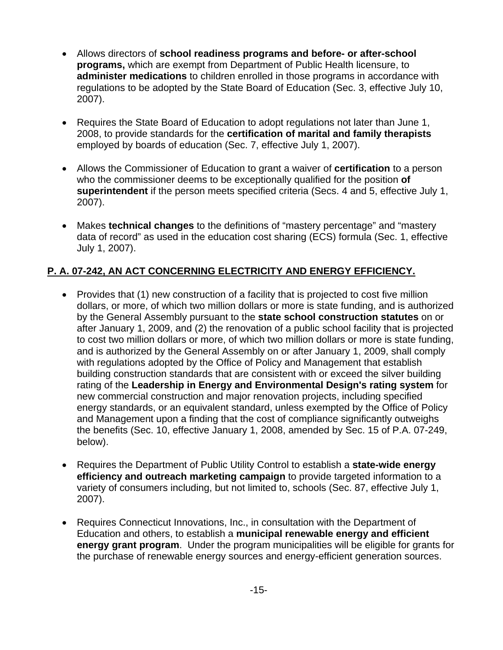- Allows directors of **school readiness programs and before- or after-school programs,** which are exempt from Department of Public Health licensure, to **administer medications** to children enrolled in those programs in accordance with regulations to be adopted by the State Board of Education (Sec. 3, effective July 10, 2007).
- Requires the State Board of Education to adopt regulations not later than June 1, 2008, to provide standards for the **certification of marital and family therapists** employed by boards of education (Sec. 7, effective July 1, 2007).
- Allows the Commissioner of Education to grant a waiver of **certification** to a person who the commissioner deems to be exceptionally qualified for the position **of superintendent** if the person meets specified criteria (Secs. 4 and 5, effective July 1, 2007).
- Makes **technical changes** to the definitions of "mastery percentage" and "mastery data of record" as used in the education cost sharing (ECS) formula (Sec. 1, effective July 1, 2007).

## **P. A. 07-242, [AN ACT CONCERNING ELECTRICITY AND ENERGY EFFICIENCY.](http://www.cga.ct.gov/2007/ACT/PA/2007PA-00242-R00HB-07432-PA.htm)**

- Provides that (1) new construction of a facility that is projected to cost five million dollars, or more, of which two million dollars or more is state funding, and is authorized by the General Assembly pursuant to the **state school construction statutes** on or after January 1, 2009, and (2) the renovation of a public school facility that is projected to cost two million dollars or more, of which two million dollars or more is state funding, and is authorized by the General Assembly on or after January 1, 2009, shall comply with regulations adopted by the Office of Policy and Management that establish building construction standards that are consistent with or exceed the silver building rating of the **Leadership in Energy and Environmental Design's rating system** for new commercial construction and major renovation projects, including specified energy standards, or an equivalent standard, unless exempted by the Office of Policy and Management upon a finding that the cost of compliance significantly outweighs the benefits (Sec. 10, effective January 1, 2008, amended by Sec. 15 of P.A. 07-249, below).
- Requires the Department of Public Utility Control to establish a **state-wide energy efficiency and outreach marketing campaign** to provide targeted information to a variety of consumers including, but not limited to, schools (Sec. 87, effective July 1, 2007).
- Requires Connecticut Innovations, Inc., in consultation with the Department of Education and others, to establish a **municipal renewable energy and efficient energy grant program**. Under the program municipalities will be eligible for grants for the purchase of renewable energy sources and energy-efficient generation sources.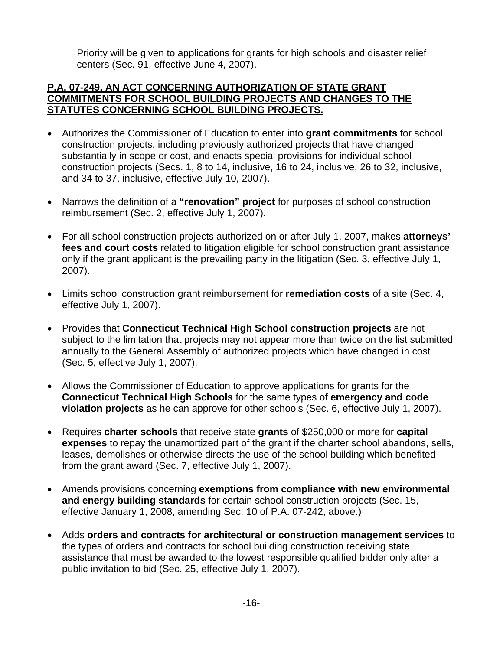Priority will be given to applications for grants for high schools and disaster relief centers (Sec. 91, effective June 4, 2007).

#### **P.A. 07-249, [AN ACT CONCERNING AUTHORIZATION OF STATE GRANT](http://www.cga.ct.gov/2007/ACT/PA/2007PA-00249-R00SB-01406-PA.htm)  [COMMITMENTS FOR SCHOOL BUILDING PROJECTS AND CHANGES TO THE](http://www.cga.ct.gov/2007/ACT/PA/2007PA-00249-R00SB-01406-PA.htm)  [STATUTES CONCERNING SCHOOL BUILDING PROJECTS.](http://www.cga.ct.gov/2007/ACT/PA/2007PA-00249-R00SB-01406-PA.htm)**

- Authorizes the Commissioner of Education to enter into **grant commitments** for school construction projects, including previously authorized projects that have changed substantially in scope or cost, and enacts special provisions for individual school construction projects (Secs. 1, 8 to 14, inclusive, 16 to 24, inclusive, 26 to 32, inclusive, and 34 to 37, inclusive, effective July 10, 2007).
- Narrows the definition of a **"renovation" project** for purposes of school construction reimbursement (Sec. 2, effective July 1, 2007).
- For all school construction projects authorized on or after July 1, 2007, makes **attorneys' fees and court costs** related to litigation eligible for school construction grant assistance only if the grant applicant is the prevailing party in the litigation (Sec. 3, effective July 1, 2007).
- Limits school construction grant reimbursement for **remediation costs** of a site (Sec. 4, effective July 1, 2007).
- Provides that **Connecticut Technical High School construction projects** are not subject to the limitation that projects may not appear more than twice on the list submitted annually to the General Assembly of authorized projects which have changed in cost (Sec. 5, effective July 1, 2007).
- Allows the Commissioner of Education to approve applications for grants for the **Connecticut Technical High Schools** for the same types of **emergency and code violation projects** as he can approve for other schools (Sec. 6, effective July 1, 2007).
- Requires **charter schools** that receive state **grants** of \$250,000 or more for **capital expenses** to repay the unamortized part of the grant if the charter school abandons, sells, leases, demolishes or otherwise directs the use of the school building which benefited from the grant award (Sec. 7, effective July 1, 2007).
- Amends provisions concerning **exemptions from compliance with new environmental and energy building standards** for certain school construction projects (Sec. 15, effective January 1, 2008, amending Sec. 10 of P.A. 07-242, above.)
- Adds **orders and contracts for architectural or construction management services** to the types of orders and contracts for school building construction receiving state assistance that must be awarded to the lowest responsible qualified bidder only after a public invitation to bid (Sec. 25, effective July 1, 2007).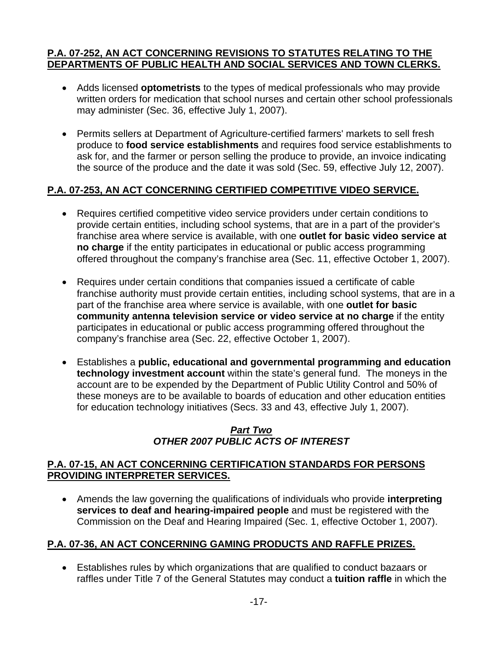#### **P.A. 07-252, [AN ACT CONCERNING REVISIONS TO STATUTES RELATING TO THE](http://www.cga.ct.gov/2007/ACT/PA/2007PA-00252-R00HB-07163-PA.htm)  [DEPARTMENTS OF PUBLIC HEALTH AND SOCIAL SERVICES AND TOWN CLERKS.](http://www.cga.ct.gov/2007/ACT/PA/2007PA-00252-R00HB-07163-PA.htm)**

- Adds licensed **optometrists** to the types of medical professionals who may provide written orders for medication that school nurses and certain other school professionals may administer (Sec. 36, effective July 1, 2007).
- Permits sellers at Department of Agriculture-certified farmers' markets to sell fresh produce to **food service establishments** and requires food service establishments to ask for, and the farmer or person selling the produce to provide, an invoice indicating the source of the produce and the date it was sold (Sec. 59, effective July 12, 2007).

#### **P.A. 07-253, [AN ACT CONCERNING CERTIFIED COMPETITIVE VIDEO SERVICE.](http://www.cga.ct.gov/2007/ACT/PA/2007PA-00253-R00HB-07182-PA.htm)**

- Requires certified competitive video service providers under certain conditions to provide certain entities, including school systems, that are in a part of the provider's franchise area where service is available, with one **outlet for basic video service at no charge** if the entity participates in educational or public access programming offered throughout the company's franchise area (Sec. 11, effective October 1, 2007).
- Requires under certain conditions that companies issued a certificate of cable franchise authority must provide certain entities, including school systems, that are in a part of the franchise area where service is available, with one **outlet for basic community antenna television service or video service at no charge** if the entity participates in educational or public access programming offered throughout the company's franchise area (Sec. 22, effective October 1, 2007).
- Establishes a **public, educational and governmental programming and education technology investment account** within the state's general fund. The moneys in the account are to be expended by the Department of Public Utility Control and 50% of these moneys are to be available to boards of education and other education entities for education technology initiatives (Secs. 33 and 43, effective July 1, 2007).

## *Part Two OTHER 2007 PUBLIC ACTS OF INTEREST*

#### **P.A. 07-15, [AN ACT CONCERNING CERTIFICATION STANDARDS FOR PERSONS](http://www.cga.ct.gov/2007/ACT/PA/2007PA-00015-R00HB-07109-PA.htm)  [PROVIDING INTERPRETER SERVICES.](http://www.cga.ct.gov/2007/ACT/PA/2007PA-00015-R00HB-07109-PA.htm)**

• Amends the law governing the qualifications of individuals who provide **interpreting services to deaf and hearing-impaired people** and must be registered with the Commission on the Deaf and Hearing Impaired (Sec. 1, effective October 1, 2007).

#### **P.A. 07-36, [AN ACT CONCERNING GAMING PRODUCTS AND RAFFLE PRIZES.](http://www.cga.ct.gov/2007/ACT/PA/2007PA-00036-R00SB-01071-PA.htm)**

• Establishes rules by which organizations that are qualified to conduct bazaars or raffles under Title 7 of the General Statutes may conduct a **tuition raffle** in which the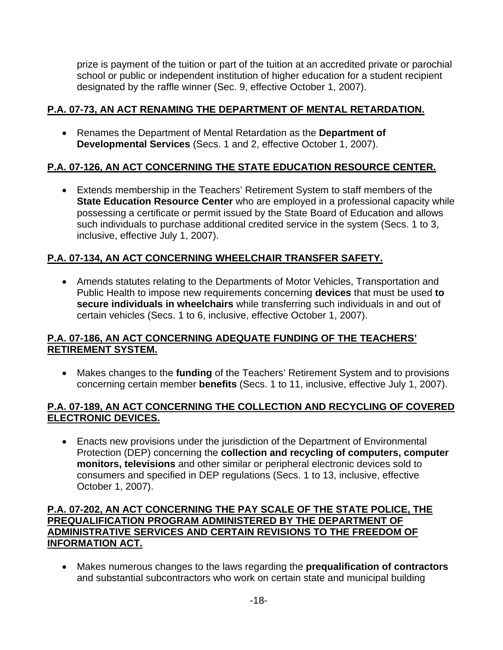prize is payment of the tuition or part of the tuition at an accredited private or parochial school or public or independent institution of higher education for a student recipient designated by the raffle winner (Sec. 9, effective October 1, 2007).

## **P.A. 07-73, [AN ACT RENAMING THE DEPARTMENT OF MENTAL RETARDATION.](http://www.cga.ct.gov/2007/ACT/PA/2007PA-00073-R00HB-07007-PA.htm)**

• Renames the Department of Mental Retardation as the **Department of Developmental Services** (Secs. 1 and 2, effective October 1, 2007).

## **P.A. 07-126, [AN ACT CONCERNING THE STATE EDUCATION RESOURCE CENTER.](http://www.cga.ct.gov/2007/ACT/PA/2007PA-00126-R00SB-01412-PA.htm)**

• Extends membership in the Teachers' Retirement System to staff members of the **State Education Resource Center** who are employed in a professional capacity while possessing a certificate or permit issued by the State Board of Education and allows such individuals to purchase additional credited service in the system (Secs. 1 to 3, inclusive, effective July 1, 2007).

## **P.A. 07-134, [AN ACT CONCERNING WHEELCHAIR TRANSFER SAFETY.](http://www.cga.ct.gov/2007/ACT/PA/2007PA-00134-R00HB-05537-PA.htm)**

• Amends statutes relating to the Departments of Motor Vehicles, Transportation and Public Health to impose new requirements concerning **devices** that must be used **to secure individuals in wheelchairs** while transferring such individuals in and out of certain vehicles (Secs. 1 to 6, inclusive, effective October 1, 2007).

#### **P.A. 07-186, [AN ACT CONCERNING ADEQUATE FUNDING OF THE TEACHERS'](http://www.cga.ct.gov/2007/ACT/PA/2007PA-00186-R00HB-06141-PA.htm) [RETIREMENT SYSTEM.](http://www.cga.ct.gov/2007/ACT/PA/2007PA-00186-R00HB-06141-PA.htm)**

• Makes changes to the **funding** of the Teachers' Retirement System and to provisions concerning certain member **benefits** (Secs. 1 to 11, inclusive, effective July 1, 2007).

#### **P.A. 07-189, [AN ACT CONCERNING THE COLLECTION AND RECYCLING OF COVERED](http://www.cga.ct.gov/2007/ACT/PA/2007PA-00189-R00HB-07249-PA.htm)  [ELECTRONIC DEVICES.](http://www.cga.ct.gov/2007/ACT/PA/2007PA-00189-R00HB-07249-PA.htm)**

• Enacts new provisions under the jurisdiction of the Department of Environmental Protection (DEP) concerning the **collection and recycling of computers, computer monitors, televisions** and other similar or peripheral electronic devices sold to consumers and specified in DEP regulations (Secs. 1 to 13, inclusive, effective October 1, 2007).

#### **P.A. 07-202, [AN ACT CONCERNING THE PAY SCALE OF THE STATE POLICE, THE](http://www.cga.ct.gov/2007/ACT/PA/2007PA-00202-R00SB-00707-PA.htm)  [PREQUALIFICATION PROGRAM ADMINISTERED BY THE DEPARTMENT OF](http://www.cga.ct.gov/2007/ACT/PA/2007PA-00202-R00SB-00707-PA.htm)  [ADMINISTRATIVE SERVICES AND CERTAIN REVISIONS TO THE FREEDOM OF](http://www.cga.ct.gov/2007/ACT/PA/2007PA-00202-R00SB-00707-PA.htm)  [INFORMATION ACT.](http://www.cga.ct.gov/2007/ACT/PA/2007PA-00202-R00SB-00707-PA.htm)**

• Makes numerous changes to the laws regarding the **prequalification of contractors** and substantial subcontractors who work on certain state and municipal building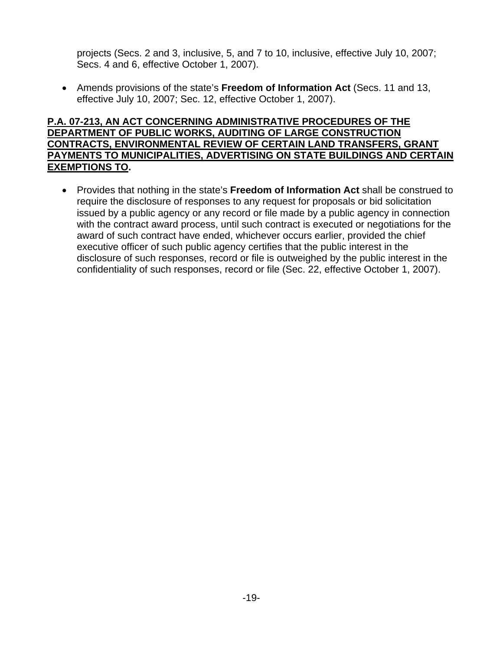projects (Secs. 2 and 3, inclusive, 5, and 7 to 10, inclusive, effective July 10, 2007; Secs. 4 and 6, effective October 1, 2007).

• Amends provisions of the state's **Freedom of Information Act** (Secs. 11 and 13, effective July 10, 2007; Sec. 12, effective October 1, 2007).

#### **P.A. 07-213, [AN ACT CONCERNING ADMINISTRATIVE PROCEDURES OF THE](http://www.cga.ct.gov/2007/ACT/PA/2007PA-00213-R00SB-01182-PA.htm)  [DEPARTMENT OF PUBLIC WORKS, AUDITING OF LARGE CONSTRUCTION](http://www.cga.ct.gov/2007/ACT/PA/2007PA-00213-R00SB-01182-PA.htm)  [CONTRACTS, ENVIRONMENTAL REVIEW OF CERTAIN LAND TRANSFERS, GRANT](http://www.cga.ct.gov/2007/ACT/PA/2007PA-00213-R00SB-01182-PA.htm)  [PAYMENTS TO MUNICIPALITIES, ADVERTISING ON STATE BUILDINGS AND CERTAIN](http://www.cga.ct.gov/2007/ACT/PA/2007PA-00213-R00SB-01182-PA.htm)  [EXEMPTIONS TO](http://www.cga.ct.gov/2007/ACT/PA/2007PA-00213-R00SB-01182-PA.htm).**

• Provides that nothing in the state's **Freedom of Information Act** shall be construed to require the disclosure of responses to any request for proposals or bid solicitation issued by a public agency or any record or file made by a public agency in connection with the contract award process, until such contract is executed or negotiations for the award of such contract have ended, whichever occurs earlier, provided the chief executive officer of such public agency certifies that the public interest in the disclosure of such responses, record or file is outweighed by the public interest in the confidentiality of such responses, record or file (Sec. 22, effective October 1, 2007).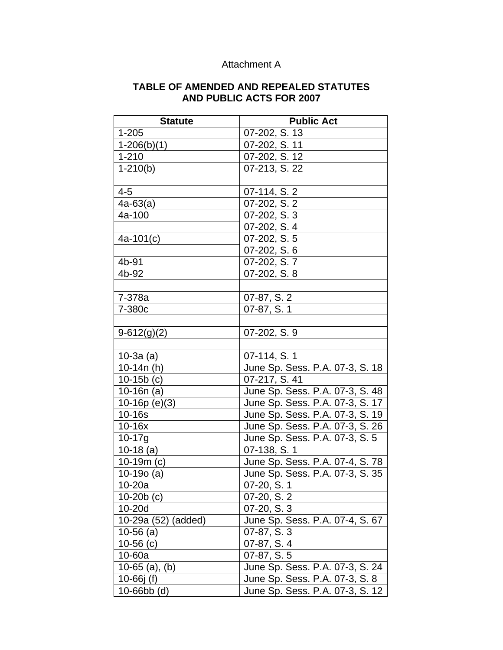| $1 - 205$<br>07-202, S. 13<br>07-202, S. 11<br>$1-206(b)(1)$<br>$1 - 210$<br>07-202, S. 12<br>$1-210(b)$<br>07-213, S. 22<br>$4 - 5$<br>07-114, S. 2 |
|------------------------------------------------------------------------------------------------------------------------------------------------------|
|                                                                                                                                                      |
|                                                                                                                                                      |
|                                                                                                                                                      |
|                                                                                                                                                      |
|                                                                                                                                                      |
|                                                                                                                                                      |
| $4a-63(a)$<br>07-202, S. 2                                                                                                                           |
| 07-202, S. 3<br>4a-100                                                                                                                               |
| 07-202, S. 4                                                                                                                                         |
| 07-202, S. 5<br>$4a-101(c)$                                                                                                                          |
| 07-202, S. 6                                                                                                                                         |
| 4b-91<br>07-202, S.7                                                                                                                                 |
| 4b-92<br>07-202, S. 8                                                                                                                                |
|                                                                                                                                                      |
| 07-87, S. 2<br>7-378a                                                                                                                                |
| 07-87, S. 1<br>7-380c                                                                                                                                |
|                                                                                                                                                      |
| 07-202, S. 9<br>$9-612(g)(2)$                                                                                                                        |
|                                                                                                                                                      |
| $10-3a$ (a)<br>07-114, S. 1                                                                                                                          |
| June Sp. Sess. P.A. 07-3, S. 18<br>10-14 $n(h)$                                                                                                      |
| $10-15b$ (c)<br>07-217, S. 41                                                                                                                        |
| June Sp. Sess. P.A. 07-3, S. 48<br>10-16 $n(a)$                                                                                                      |
| $10-16p(e)(3)$<br>June Sp. Sess. P.A. 07-3, S. 17                                                                                                    |
| June Sp. Sess. P.A. 07-3, S. 19<br>$10-16s$                                                                                                          |
| 10-16x<br>June Sp. Sess. P.A. 07-3, S. 26                                                                                                            |
| $10 - 17g$<br>June Sp. Sess. P.A. 07-3, S. 5                                                                                                         |
| 07-138, S. 1<br>$10-18$ (a)                                                                                                                          |
| June Sp. Sess. P.A. 07-4, S. 78<br>$10-19m(c)$                                                                                                       |
| June Sp. Sess. P.A. 07-3, S. 35<br>$10-190$ (a)                                                                                                      |
| $\overline{10}$ -20a<br>07-20, S. 1                                                                                                                  |
| 10-20 $b(c)$<br>07-20, S. 2                                                                                                                          |
| 07-20, S. 3<br>$10-20d$                                                                                                                              |
| 10-29a (52) (added)<br>June Sp. Sess. P.A. 07-4, S. 67                                                                                               |
| $10-56$ (a)<br>07-87, S. 3                                                                                                                           |
| 07-87, S. 4<br>$10-56$ (c)                                                                                                                           |
| 10-60a<br>07-87, S. 5                                                                                                                                |
| 10-65 $(a)$ , $(b)$<br>June Sp. Sess. P.A. 07-3, S. 24                                                                                               |
| 10-66 $j$ (f)<br>June Sp. Sess. P.A. 07-3, S. 8                                                                                                      |
| 10-66bb (d)<br>June Sp. Sess. P.A. 07-3, S. 12                                                                                                       |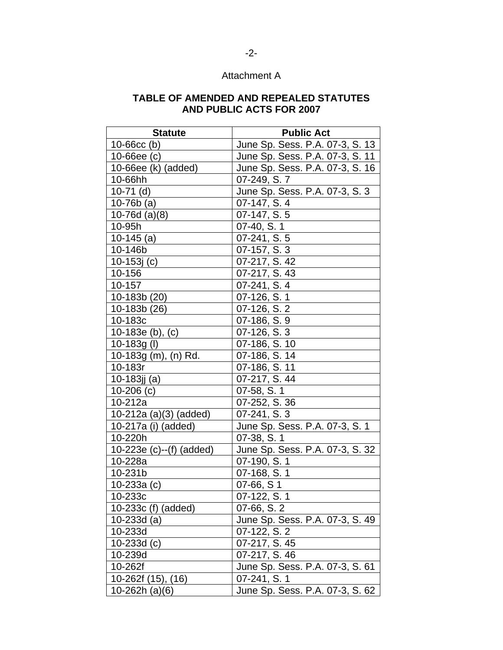| <b>Statute</b>               | <b>Public Act</b>               |
|------------------------------|---------------------------------|
| $10 - 66$ cc (b)             | June Sp. Sess. P.A. 07-3, S. 13 |
| 10-66ee $(c)$                | June Sp. Sess. P.A. 07-3, S. 11 |
| 10-66ee (k) (added)          | June Sp. Sess. P.A. 07-3, S. 16 |
| 10-66hh                      | 07-249, S.7                     |
| $10-71$ (d)                  | June Sp. Sess. P.A. 07-3, S. 3  |
| $10-76b$ (a)                 | 07-147, S. 4                    |
| 10-76d $(a)(8)$              | $07-147, S.5$                   |
| 10-95h                       | 07-40, S. 1                     |
| $10-145$ (a)                 | 07-241, S. 5                    |
| 10-146b                      | 07-157, S. 3                    |
| 10-153 $j(c)$                | 07-217, S. 42                   |
| 10-156                       | 07-217, S. 43                   |
| 10-157                       | 07-241, S. 4                    |
| 10-183b (20)                 | 07-126, S. 1                    |
| 10-183b (26)                 | 07-126, S. 2                    |
| 10-183c                      | 07-186, S. 9                    |
| 10-183e (b), (c)             | 07-126, S. 3                    |
| $10-183g (l)$                | 07-186, S. 10                   |
| 10-183g (m), (n) Rd.         | 07-186, S. 14                   |
| 10-183r                      | 07-186, S. 11                   |
| 10-183 $j$ $j$ (a)           | 07-217, S. 44                   |
| 10-206 $(c)$                 | 07-58, S. 1                     |
| 10-212a                      | 07-252, S. 36                   |
| 10-212a (a)(3) (added)       | 07-241, S. 3                    |
| 10-217a (i) (added)          | June Sp. Sess. P.A. 07-3, S. 1  |
| 10-220h                      | 07-38, S. 1                     |
| $10-223e$ (c) $-(f)$ (added) | June Sp. Sess. P.A. 07-3, S. 32 |
| 10-228a                      | 07-190, S. 1                    |
| 10-231b                      | 07-168, S. 1                    |
| 10-233a $(c)$                | 07-66, S 1                      |
| 10-233c                      | 07-122, S. 1                    |
| 10-233c (f) (added)          | 07-66, S. 2                     |
| 10-233d (a)                  | June Sp. Sess. P.A. 07-3, S. 49 |
| 10-233d                      | 07-122, S. 2                    |
| 10-233d $(c)$                | 07-217, S. 45                   |
| 10-239d                      | 07-217, S. 46                   |
| 10-262f                      | June Sp. Sess. P.A. 07-3, S. 61 |
| 10-262f (15), (16)           | 07-241, S. 1                    |
| 10-262h (a)(6)               | June Sp. Sess. P.A. 07-3, S. 62 |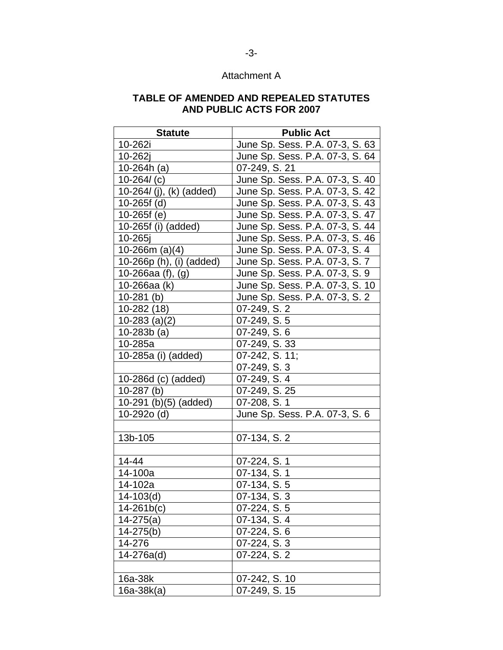| <b>Statute</b>              | <b>Public Act</b>               |
|-----------------------------|---------------------------------|
| 10-262i                     | June Sp. Sess. P.A. 07-3, S. 63 |
| 10-262j                     | June Sp. Sess. P.A. 07-3, S. 64 |
| 10-264h (a)                 | 07-249, S. 21                   |
| $10 - 264$ (c)              | June Sp. Sess. P.A. 07-3, S. 40 |
| 10-264 $I$ (j), (k) (added) | June Sp. Sess. P.A. 07-3, S. 42 |
| $10-265f$ (d)               | June Sp. Sess. P.A. 07-3, S. 43 |
| $10-265f(e)$                | June Sp. Sess. P.A. 07-3, S. 47 |
| 10-265f (i) (added)         | June Sp. Sess. P.A. 07-3, S. 44 |
| $10 - 265$                  | June Sp. Sess. P.A. 07-3, S. 46 |
| 10-266m (a) $(4)$           | June Sp. Sess. P.A. 07-3, S. 4  |
| 10-266p (h), (i) (added)    | June Sp. Sess. P.A. 07-3, S. 7  |
| 10-266aa $(f)$ , $(g)$      | June Sp. Sess. P.A. 07-3, S. 9  |
| 10-266aa (k)                | June Sp. Sess. P.A. 07-3, S. 10 |
| $10-281$ (b)                | June Sp. Sess. P.A. 07-3, S. 2  |
| 10-282 (18)                 | 07-249, S. 2                    |
| $10-283$ (a)(2)             | 07-249, S. 5                    |
| 10-283 $b$ (a)              | $07 - 249$ , S. $6$             |
| 10-285a                     | 07-249, S. 33                   |
| 10-285a (i) (added)         | 07-242, S. 11;                  |
|                             | 07-249, S. 3                    |
| 10-286d (c) (added)         | 07-249, S. 4                    |
| $10-287$ (b)                | 07-249, S. 25                   |
| $10-291$ (b)(5) (added)     | 07-208, S. 1                    |
| 10-292o (d)                 | June Sp. Sess. P.A. 07-3, S. 6  |
|                             |                                 |
| 13b-105                     | 07-134, S. 2                    |
|                             |                                 |
| 14-44                       | 07-224, S. 1                    |
| 14-100a                     | 07-134, S. 1                    |
| 14-102a                     | 07-134, S. 5                    |
| $14 - 103(d)$               | 07-134, S. 3                    |
| $14 - 261b(c)$              | 07-224, S. 5                    |
| $14 - 275(a)$               | 07-134, S. 4                    |
| $14 - 275(b)$               | 07-224, S. 6                    |
| 14-276                      | 07-224, S. 3                    |
| 14-276a(d)                  | 07-224, S. 2                    |
|                             |                                 |
| 16a-38k                     | 07-242, S. 10                   |
| 16a-38k(a)                  | 07-249, S. 15                   |